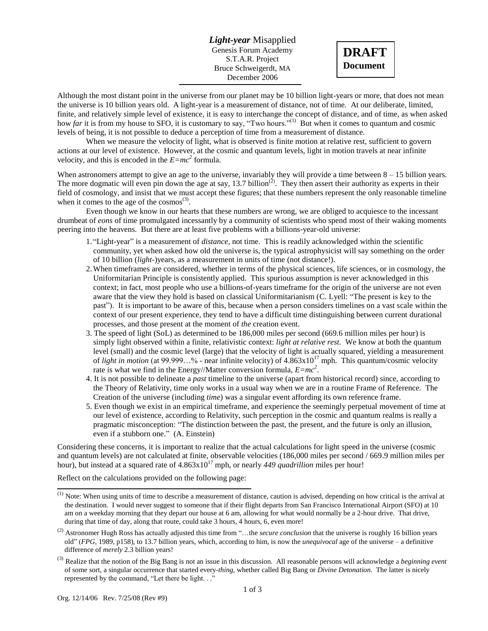*Light-year* Misapplied Genesis Forum Academy S.T.A.R. Project Bruce Schweigerdt, MA December 2006



Although the most distant point in the universe from our planet may be 10 billion light-years or more, that does not mean the universe is 10 billion years old. A light-year is a measurement of distance, not of time. At our deliberate, limited, finite, and relatively simple level of existence, it is easy to interchange the concept of distance, and of time, as when asked how *far* it is from my house to SFO, it is customary to say, "Two hours."<sup>(1)</sup> But when it comes to quantum and cosmic levels of being, it is not possible to deduce a perception of time from a measurement of distance.

When we measure the velocity of light, what is observed is finite motion at relative rest, sufficient to govern actions at our level of existence. However, at the cosmic and quantum levels, light in motion travels at near infinite velocity, and this is encoded in the  $E=mc^2$  formula.

When astronomers attempt to give an age to the universe, invariably they will provide a time between  $8 - 15$  billion years. The more dogmatic will even pin down the age at say, 13.7 billion<sup> $(2)$ </sup>. They then assert their authority as experts in their field of cosmology, and insist that we must accept these figures; that these numbers represent the only reasonable timeline when it comes to the age of the  $cosmos^{(3)}$ .

Even though we know in our hearts that these numbers are wrong, we are obliged to acquiesce to the incessant drumbeat of *eons* of time promulgated incessantly by a community of scientists who spend most of their waking moments peering into the heavens. But there are at least five problems with a billions-year-old universe:

- 1. "Light-year" is a measurement of *distance*, not time. This is readily acknowledged within the scientific community, yet when asked how old the universe is, the typical astrophysicist will say something on the order of 10 billion (*light-*)years, as a measurement in units of time (not distance!).
- 2.When timeframes are considered, whether in terms of the physical sciences, life sciences, or in cosmology, the Uniformitarian Principle is consistently applied. This spurious assumption is never acknowledged in this context; in fact, most people who use a billions-of-years timeframe for the origin of the universe are not even aware that the view they hold is based on classical Uniformitarianism (C. Lyell: "The present is key to the past"). It is important to be aware of this, because when a person considers timelines on a vast scale within the context of our present experience, they tend to have a difficult time distinguishing between current durational processes, and those present at the moment of *the* creation event.
- 3. The speed of light (SoL) as determined to be 186,000 miles per second (669.6 million miles per hour) is simply light observed within a finite, relativistic context: *light at relative rest*. We know at both the quantum level (small) and the cosmic level (large) that the velocity of light is actually squared, yielding a measurement of *light in motion* (at 99.999…% - near infinite velocity) of 4.863x10<sup>17</sup> mph. This quantum/cosmic velocity rate is what we find in the Energy//Matter conversion formula, *E=mc<sup>2</sup>* .
- 4. It is not possible to delineate a *past* timeline to the universe (apart from historical record) since, according to the Theory of Relativity, time only works in a usual way when we are in a routine Frame of Reference. The Creation of the universe (including *time*) was a singular event affording its own reference frame.
- 5. Even though we exist in an empirical timeframe, and experience the seemingly perpetual movement of time at our level of existence, according to Relativity, such perception in the cosmic and quantum realms is really a pragmatic misconception: "The distinction between the past, the present, and the future is only an illusion, even if a stubborn one." (A. Einstein)

Considering these concerns, it is important to realize that the actual calculations for light speed in the universe (cosmic and quantum levels) are not calculated at finite, observable velocities (186,000 miles per second / 669.9 million miles per hour), but instead at a squared rate of  $4.863 \times 10^{17}$  mph, or nearly 449 *quadrillion* miles per hour!

Reflect on the calculations provided on the following page:

 $<sup>(1)</sup>$  Note: When using units of time to describe a measurement of distance, caution is advised, depending on how critical is the arrival at</sup> the destination. I would never suggest to someone that if their flight departs from San Francisco International Airport (SFO) at 10 am on a weekday morning that they depart our house at 6 am, allowing for what would normally be a 2-hour drive. That drive, during that time of day, along that route, could take 3 hours, 4 hours, 6, even more!

<sup>(2)</sup> Astronomer Hugh Ross has actually adjusted this time from "…the *secure conclusion* that the universe is roughly 16 billion years old" (*FPG*, 1989, p158), to 13.7 billion years, which, according to him, is now the *unequivocal* age of the universe – a definitive difference of *merely* 2.3 billion years!

<sup>(3)</sup> Realize that the notion of the Big Bang is not an issue in this discussion. All reasonable persons will acknowledge a *beginning event* of some sort, a singular occurrence that started every-*thing*, whether called Big Bang or *Divine Detonation*. The latter is nicely represented by the command, "Let there be light. . ."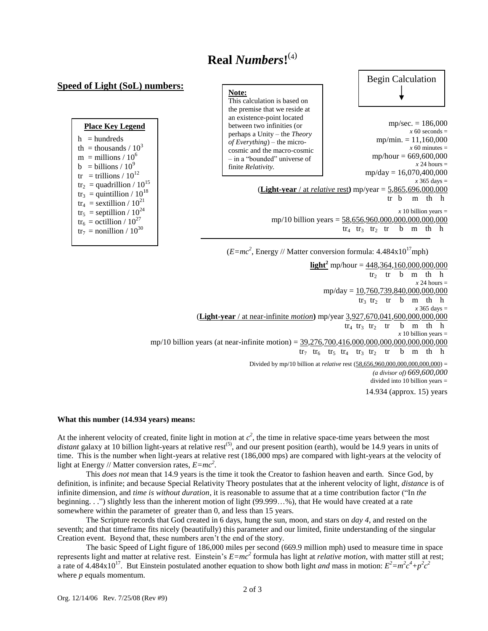## **Real** *Numbers***!** (4)

## **Speed of Light (SoL) numbers:**

| <b>Place Key Legend</b>                        |
|------------------------------------------------|
| $h =$ hundreds                                 |
| th = thousands / $10^3$                        |
| $m =$ millions / 10 <sup>6</sup>               |
| $b = \text{billions} / 10^9$                   |
| tr = trillions / $10^{12}$                     |
| $\text{tr}_2$ = quadrillion / 10 <sup>15</sup> |
| $\text{tr}_3$ = quintillion / 10 <sup>18</sup> |
| $\text{tr}_4$ = sextillion / $10^{21}$         |
| $\text{tr}_5$ = septillion / $10^{24}$         |
| $\text{tr}_6 = \text{octillion} / 10^{27}$     |
| $\text{tr}_7$ = nonillion / $10^{30}$          |
|                                                |

## **Note:**

This calculation is based on the premise that we reside at an existence-point located between two infinities (or perhaps a Unity – the *Theory of Everything*) – the microcosmic and the macro-cosmic – in a "bounded" universe of finite *Relativity.*



 $mp/sec = 186,000$  $x$  60 seconds = mp/min.  $= 11,160,000$  $x$  60 minutes = mp/hour = 669,600,000  $x$  24 hours = mp/day = 16,070,400,000 *x* 365 days = (**Light-year** / at *relative* rest**)** mp/year = 5,865,696,000,000 tr b m th h  $x$  10 billion years = mp/10 billion years =  $58,656,960,000,000,000,000,000$  $tr_4$   $tr_3$   $tr_2$   $tr$  b m th h

 $(E=mc^2$ , Energy // Matter conversion formula:  $4.484 \times 10^{17}$ mph)

**light**<sup>2</sup> mp/hour = 448,364,160,000,000,000  $tr<sub>2</sub>$  tr b m th h  $x$  24 hours =  $mp/day = 10,760,739,840,000,000,000$  $tr_3$   $tr_2$   $tr$   $b$   $m$   $th$   $h$ *x* 365 days = (**Light-year** / at near-infinite *motion***)** mp/year 3,927,670,041,600,000,000,000  $tr_4$   $tr_3$   $tr_2$   $tr$   $b$   $m$   $th$   $h$  $x$  10 billion years = mp/10 billion years (at near-infinite motion) =  $39,276,700,416,000,000,000,000,000,000,000$  $tr_7$   $tr_6$   $tr_5$   $tr_4$   $tr_3$   $tr_2$   $tr$   $b$  m th h Divided by mp/10 billion at *relative* rest (58,656,960,000,000,000,000,000) = *(a divisor of) 669,600,000* divided into 10 billion years = 14.934 (approx. 15) years

## **What this number (14.934 years) means:**

At the inherent velocity of created, finite light in motion at  $c^2$ , the time in relative space-time years between the most distant galaxy at 10 billion light-years at relative rest<sup>(5)</sup>, and our present position (earth), would be 14.9 years in units of time. This is the number when light-years at relative rest (186,000 mps) are compared with light-years at the velocity of light at Energy // Matter conversion rates, *E=mc<sup>2</sup>* .

This *does not* mean that 14.9 years is the time it took the Creator to fashion heaven and earth. Since God, by definition, is infinite; and because Special Relativity Theory postulates that at the inherent velocity of light, *distance* is of infinite dimension, and *time is without duration*, it is reasonable to assume that at a time contribution factor ("In *the* beginning. . .") slightly less than the inherent motion of light (99.999…%), that He would have created at a rate somewhere within the parameter of greater than 0, and less than 15 years.

The Scripture records that God created in 6 days, hung the sun, moon, and stars on *day 4*, and rested on the seventh; and that timeframe fits nicely (beautifully) this parameter and our limited, finite understanding of the singular Creation event. Beyond that, these numbers aren't the end of the story.

The basic Speed of Light figure of 186,000 miles per second (669.9 million mph) used to measure time in space represents light and matter at relative rest. Einstein's *E=mc<sup>2</sup>* formula has light at *relative motion*, with matter still at rest; a rate of 4.484x10<sup>17</sup>. But Einstein postulated another equation to show both light *and* mass in motion:  $E^2 = m^2c^4 + p^2c^2$ where *p* equals momentum.